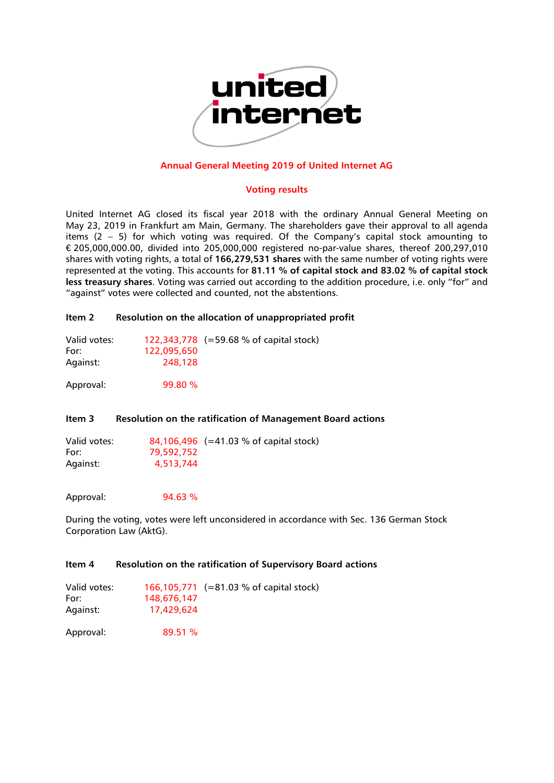

## **Annual General Meeting 2019 of United Internet AG**

#### **Voting results**

United Internet AG closed its fiscal year 2018 with the ordinary Annual General Meeting on May 23, 2019 in Frankfurt am Main, Germany. The shareholders gave their approval to all agenda items (2 – 5) for which voting was required. Of the Company's capital stock amounting to € 205,000,000.00, divided into 205,000,000 registered no-par-value shares, thereof 200,297,010 shares with voting rights, a total of **166,279,531 shares** with the same number of voting rights were represented at the voting. This accounts for **81.11 % of capital stock and 83.02 % of capital stock less treasury shares**. Voting was carried out according to the addition procedure, i.e. only "for" and "against" votes were collected and counted, not the abstentions.

## **Item 2 Resolution on the allocation of unappropriated profit**

| Valid votes: |             | 122,343,778 $ (=59.68 % of capital stock)$ |
|--------------|-------------|--------------------------------------------|
| For:         | 122,095,650 |                                            |
| Against:     | 248,128     |                                            |

Approval: 99.80 %

# **Item 3 Resolution on the ratification of Management Board actions**

Valid votes: 84,106,496 (=41.03 % of capital stock) For: 79,592,752 Against: 4,513,744

Approval: 94.63 %

During the voting, votes were left unconsidered in accordance with Sec. 136 German Stock Corporation Law (AktG).

## **Item 4 Resolution on the ratification of Supervisory Board actions**

| Valid votes:<br>For: | 148,676,147 | 166,105,771 (=81.03 % of capital stock) |
|----------------------|-------------|-----------------------------------------|
| Against:             | 17.429.624  |                                         |
|                      |             |                                         |

Approval: 89.51 %